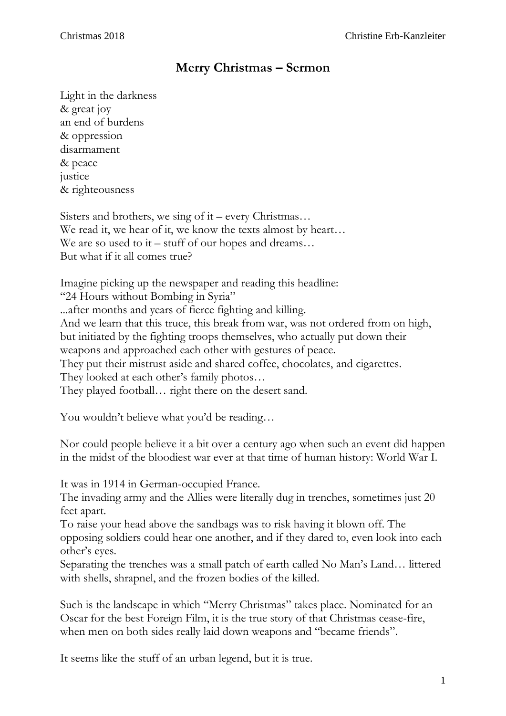## **Merry Christmas – Sermon**

Light in the darkness & great joy an end of burdens & oppression disarmament & peace justice & righteousness

Sisters and brothers, we sing of it – every Christmas… We read it, we hear of it, we know the texts almost by heart... We are so used to it – stuff of our hopes and dreams... But what if it all comes true?

Imagine picking up the newspaper and reading this headline: "24 Hours without Bombing in Syria" ...after months and years of fierce fighting and killing. And we learn that this truce, this break from war, was not ordered from on high, but initiated by the fighting troops themselves, who actually put down their weapons and approached each other with gestures of peace. They put their mistrust aside and shared coffee, chocolates, and cigarettes. They looked at each other's family photos… They played football… right there on the desert sand.

You wouldn't believe what you'd be reading...

Nor could people believe it a bit over a century ago when such an event did happen in the midst of the bloodiest war ever at that time of human history: World War I.

It was in 1914 in German-occupied France.

The invading army and the Allies were literally dug in trenches, sometimes just 20 feet apart.

To raise your head above the sandbags was to risk having it blown off. The opposing soldiers could hear one another, and if they dared to, even look into each other's eyes.

Separating the trenches was a small patch of earth called No Man's Land… littered with shells, shrapnel, and the frozen bodies of the killed.

Such is the landscape in which "Merry Christmas" takes place. Nominated for an Oscar for the best Foreign Film, it is the true story of that Christmas cease-fire, when men on both sides really laid down weapons and "became friends".

It seems like the stuff of an urban legend, but it is true.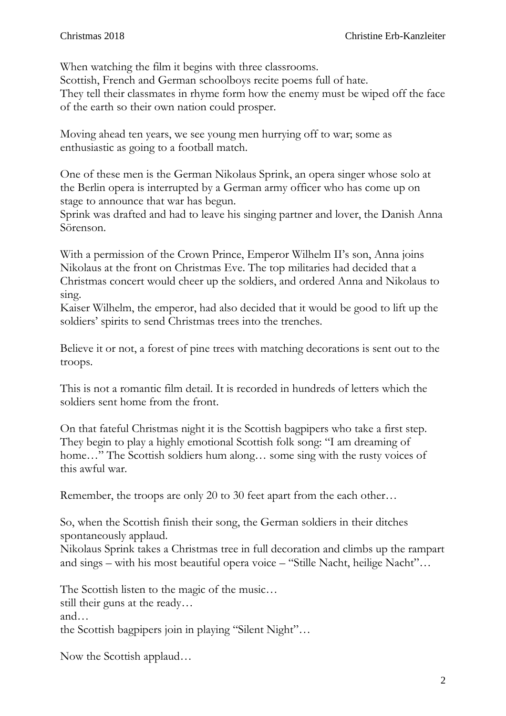When watching the film it begins with three classrooms. Scottish, French and German schoolboys recite poems full of hate. They tell their classmates in rhyme form how the enemy must be wiped off the face of the earth so their own nation could prosper.

Moving ahead ten years, we see young men hurrying off to war; some as enthusiastic as going to a football match.

One of these men is the German Nikolaus Sprink, an opera singer whose solo at the Berlin opera is interrupted by a German army officer who has come up on stage to announce that war has begun.

Sprink was drafted and had to leave his singing partner and lover, the Danish Anna Sörenson.

With a permission of the Crown Prince, Emperor Wilhelm II's son, Anna joins Nikolaus at the front on Christmas Eve. The top militaries had decided that a Christmas concert would cheer up the soldiers, and ordered Anna and Nikolaus to sing.

Kaiser Wilhelm, the emperor, had also decided that it would be good to lift up the soldiers' spirits to send Christmas trees into the trenches.

Believe it or not, a forest of pine trees with matching decorations is sent out to the troops.

This is not a romantic film detail. It is recorded in hundreds of letters which the soldiers sent home from the front.

On that fateful Christmas night it is the Scottish bagpipers who take a first step. They begin to play a highly emotional Scottish folk song: "I am dreaming of home..." The Scottish soldiers hum along... some sing with the rusty voices of this awful war.

Remember, the troops are only 20 to 30 feet apart from the each other…

So, when the Scottish finish their song, the German soldiers in their ditches spontaneously applaud.

Nikolaus Sprink takes a Christmas tree in full decoration and climbs up the rampart and sings – with his most beautiful opera voice – "Stille Nacht, heilige Nacht"…

The Scottish listen to the magic of the music… still their guns at the ready… and… the Scottish bagpipers join in playing "Silent Night"…

Now the Scottish applaud…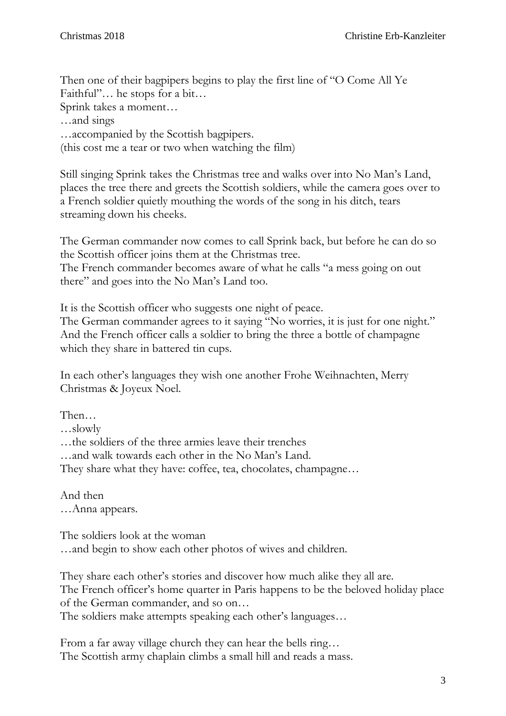Then one of their bagpipers begins to play the first line of "O Come All Ye Faithful"… he stops for a bit… Sprink takes a moment…

…and sings

…accompanied by the Scottish bagpipers.

(this cost me a tear or two when watching the film)

Still singing Sprink takes the Christmas tree and walks over into No Man's Land, places the tree there and greets the Scottish soldiers, while the camera goes over to a French soldier quietly mouthing the words of the song in his ditch, tears streaming down his cheeks.

The German commander now comes to call Sprink back, but before he can do so the Scottish officer joins them at the Christmas tree.

The French commander becomes aware of what he calls "a mess going on out there" and goes into the No Man's Land too.

It is the Scottish officer who suggests one night of peace.

The German commander agrees to it saying "No worries, it is just for one night." And the French officer calls a soldier to bring the three a bottle of champagne which they share in battered tin cups.

In each other's languages they wish one another Frohe Weihnachten, Merry Christmas & Joyeux Noel.

Then…

…slowly

…the soldiers of the three armies leave their trenches

…and walk towards each other in the No Man's Land.

They share what they have: coffee, tea, chocolates, champagne...

And then …Anna appears.

The soldiers look at the woman …and begin to show each other photos of wives and children.

They share each other's stories and discover how much alike they all are. The French officer's home quarter in Paris happens to be the beloved holiday place of the German commander, and so on…

The soldiers make attempts speaking each other's languages…

From a far away village church they can hear the bells ring... The Scottish army chaplain climbs a small hill and reads a mass.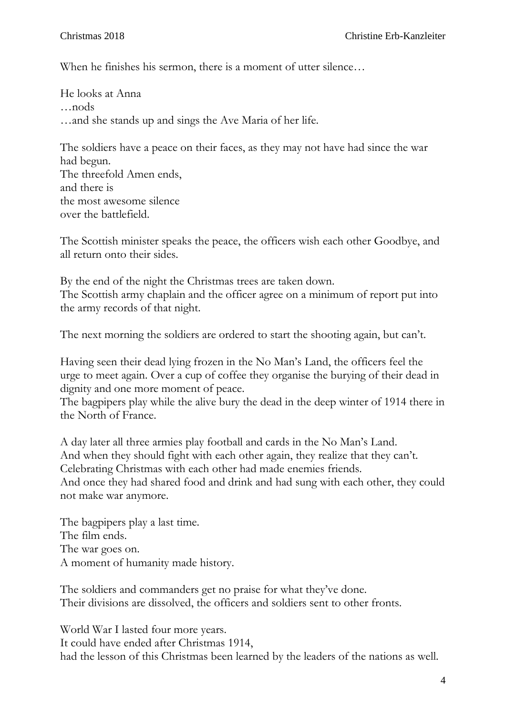When he finishes his sermon, there is a moment of utter silence...

He looks at Anna …nods …and she stands up and sings the Ave Maria of her life.

The soldiers have a peace on their faces, as they may not have had since the war had begun. The threefold Amen ends, and there is the most awesome silence over the battlefield.

The Scottish minister speaks the peace, the officers wish each other Goodbye, and all return onto their sides.

By the end of the night the Christmas trees are taken down. The Scottish army chaplain and the officer agree on a minimum of report put into the army records of that night.

The next morning the soldiers are ordered to start the shooting again, but can't.

Having seen their dead lying frozen in the No Man's Land, the officers feel the urge to meet again. Over a cup of coffee they organise the burying of their dead in dignity and one more moment of peace.

The bagpipers play while the alive bury the dead in the deep winter of 1914 there in the North of France.

A day later all three armies play football and cards in the No Man's Land. And when they should fight with each other again, they realize that they can't. Celebrating Christmas with each other had made enemies friends. And once they had shared food and drink and had sung with each other, they could not make war anymore.

The bagpipers play a last time. The film ends. The war goes on. A moment of humanity made history.

The soldiers and commanders get no praise for what they've done. Their divisions are dissolved, the officers and soldiers sent to other fronts.

World War I lasted four more years. It could have ended after Christmas 1914, had the lesson of this Christmas been learned by the leaders of the nations as well.